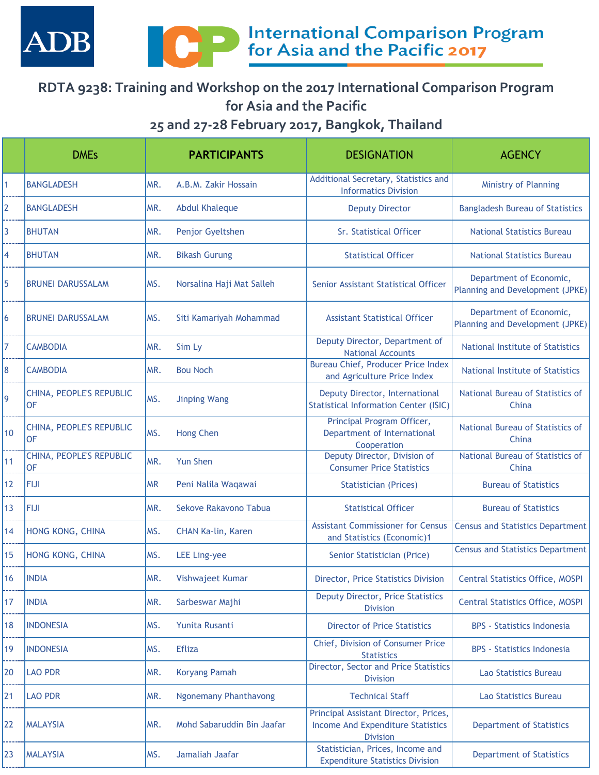



## **RDTA 9238: Training and Workshop on the 2017 International Comparison Program for Asia and the Pacific**

**25 and 27-28 February 2017, Bangkok, Thailand**

|                 | <b>DMEs</b>                           |           | <b>PARTICIPANTS</b>          | <b>DESIGNATION</b>                                                                            | <b>AGENCY</b>                                              |
|-----------------|---------------------------------------|-----------|------------------------------|-----------------------------------------------------------------------------------------------|------------------------------------------------------------|
| 1               | <b>BANGLADESH</b>                     | MR.       | A.B.M. Zakir Hossain         | Additional Secretary, Statistics and<br><b>Informatics Division</b>                           | Ministry of Planning                                       |
| $\overline{2}$  | <b>BANGLADESH</b>                     | MR.       | <b>Abdul Khaleque</b>        | <b>Deputy Director</b>                                                                        | <b>Bangladesh Bureau of Statistics</b>                     |
| 3               | <b>BHUTAN</b>                         | MR.       | Penjor Gyeltshen             | Sr. Statistical Officer                                                                       | <b>National Statistics Bureau</b>                          |
| 4               | <b>BHUTAN</b>                         | MR.       | <b>Bikash Gurung</b>         | <b>Statistical Officer</b>                                                                    | <b>National Statistics Bureau</b>                          |
| 5               | <b>BRUNEI DARUSSALAM</b>              | MS.       | Norsalina Haji Mat Salleh    | Senior Assistant Statistical Officer                                                          | Department of Economic,<br>Planning and Development (JPKE) |
| 6               | <b>BRUNEI DARUSSALAM</b>              | MS.       | Siti Kamariyah Mohammad      | <b>Assistant Statistical Officer</b>                                                          | Department of Economic,<br>Planning and Development (JPKE) |
| 7               | <b>CAMBODIA</b>                       | MR.       | Sim Ly                       | Deputy Director, Department of<br><b>National Accounts</b>                                    | National Institute of Statistics                           |
| 8               | <b>CAMBODIA</b>                       | MR.       | <b>Bou Noch</b>              | <b>Bureau Chief, Producer Price Index</b><br>and Agriculture Price Index                      | National Institute of Statistics                           |
| 9               | CHINA, PEOPLE'S REPUBLIC<br><b>OF</b> | MS.       | <b>Jinping Wang</b>          | Deputy Director, International<br><b>Statistical Information Center (ISIC)</b>                | National Bureau of Statistics of<br>China                  |
| 10              | CHINA, PEOPLE'S REPUBLIC<br><b>OF</b> | MS.       | <b>Hong Chen</b>             | Principal Program Officer,<br>Department of International<br>Cooperation                      | National Bureau of Statistics of<br>China                  |
| 11              | CHINA, PEOPLE'S REPUBLIC<br><b>OF</b> | MR.       | <b>Yun Shen</b>              | Deputy Director, Division of<br><b>Consumer Price Statistics</b>                              | National Bureau of Statistics of<br>China                  |
| 12              | <b>FIJI</b>                           | <b>MR</b> | Peni Nalila Waqawai          | <b>Statistician (Prices)</b>                                                                  | <b>Bureau of Statistics</b>                                |
| 13              | <b>FIJI</b>                           | MR.       | Sekove Rakavono Tabua        | <b>Statistical Officer</b>                                                                    | <b>Bureau of Statistics</b>                                |
| 14              | HONG KONG, CHINA                      | MS.       | CHAN Ka-lin, Karen           | <b>Assistant Commissioner for Census</b><br>and Statistics (Economic)1                        | <b>Census and Statistics Department</b>                    |
| 15              | HONG KONG, CHINA                      | MS.       | <b>LEE Ling-yee</b>          | Senior Statistician (Price)                                                                   | <b>Census and Statistics Department</b>                    |
| 16 <sup>°</sup> | <b>INDIA</b>                          | MR.       | Vishwajeet Kumar             | Director, Price Statistics Division                                                           | <b>Central Statistics Office, MOSPI</b>                    |
| 17              | <b>INDIA</b>                          | MR.       | Sarbeswar Majhi              | <b>Deputy Director, Price Statistics</b><br><b>Division</b>                                   | <b>Central Statistics Office, MOSPI</b>                    |
| 18              | <b>INDONESIA</b>                      | MS.       | Yunita Rusanti               | <b>Director of Price Statistics</b>                                                           | <b>BPS</b> - Statistics Indonesia                          |
| 19              | <b>INDONESIA</b>                      | MS.       | <b>Efliza</b>                | Chief, Division of Consumer Price<br><b>Statistics</b>                                        | <b>BPS</b> - Statistics Indonesia                          |
| 20              | <b>LAO PDR</b>                        | MR.       | <b>Koryang Pamah</b>         | Director, Sector and Price Statistics<br><b>Division</b>                                      | Lao Statistics Bureau                                      |
| 21              | <b>LAO PDR</b>                        | MR.       | <b>Ngonemany Phanthavong</b> | <b>Technical Staff</b>                                                                        | Lao Statistics Bureau                                      |
| 22              | <b>MALAYSIA</b>                       | MR.       | Mohd Sabaruddin Bin Jaafar   | Principal Assistant Director, Prices,<br>Income And Expenditure Statistics<br><b>Division</b> | <b>Department of Statistics</b>                            |
| 23              | <b>MALAYSIA</b>                       | MS.       | Jamaliah Jaafar              | Statistician, Prices, Income and<br><b>Expenditure Statistics Division</b>                    | <b>Department of Statistics</b>                            |